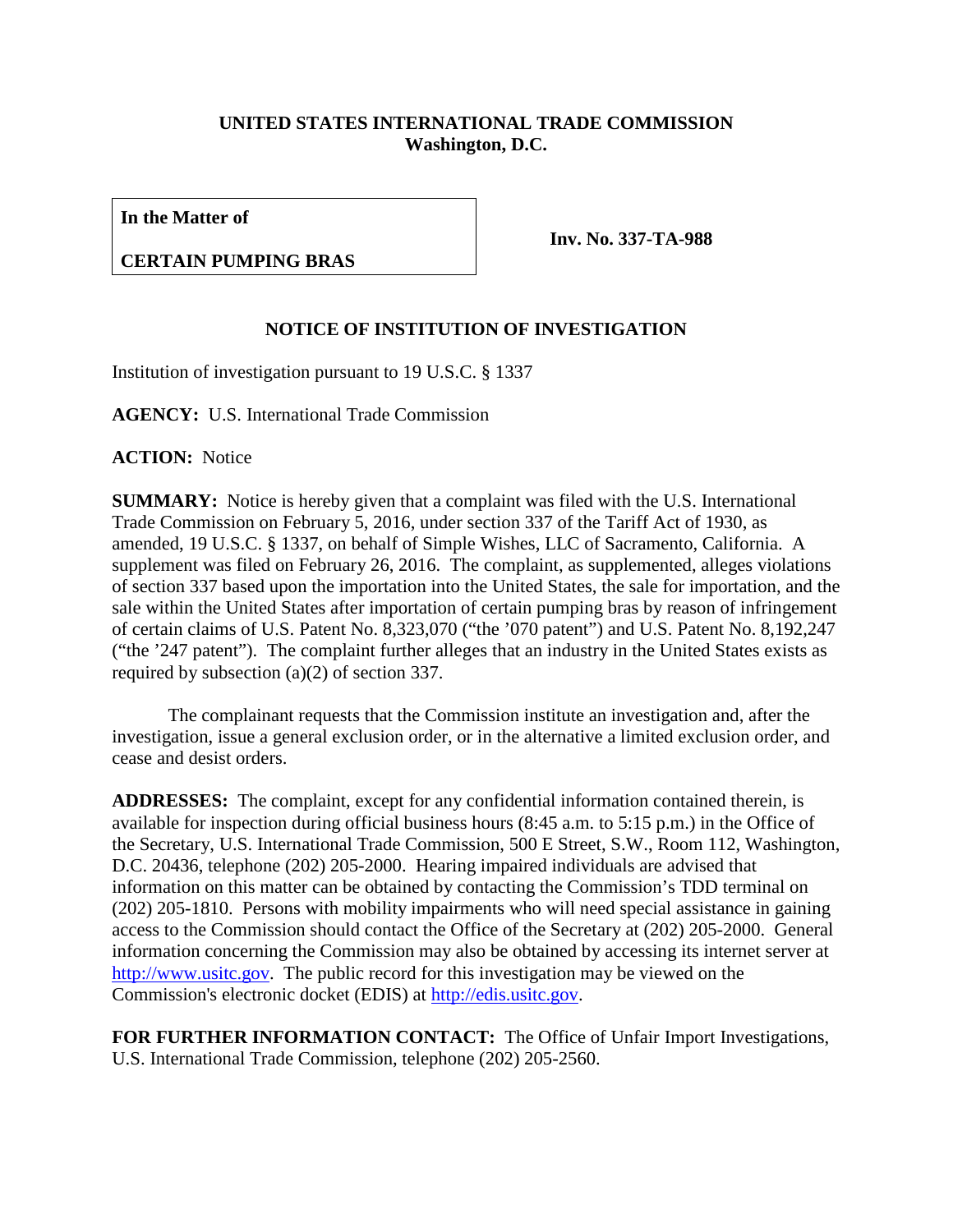## **UNITED STATES INTERNATIONAL TRADE COMMISSION Washington, D.C.**

**In the Matter of**

## **CERTAIN PUMPING BRAS**

**Inv. No. 337-TA-988**

## **NOTICE OF INSTITUTION OF INVESTIGATION**

Institution of investigation pursuant to 19 U.S.C. § 1337

**AGENCY:** U.S. International Trade Commission

**ACTION:** Notice

**SUMMARY:** Notice is hereby given that a complaint was filed with the U.S. International Trade Commission on February 5, 2016, under section 337 of the Tariff Act of 1930, as amended, 19 U.S.C. § 1337, on behalf of Simple Wishes, LLC of Sacramento, California. A supplement was filed on February 26, 2016. The complaint, as supplemented, alleges violations of section 337 based upon the importation into the United States, the sale for importation, and the sale within the United States after importation of certain pumping bras by reason of infringement of certain claims of U.S. Patent No. 8,323,070 ("the '070 patent") and U.S. Patent No. 8,192,247 ("the '247 patent"). The complaint further alleges that an industry in the United States exists as required by subsection (a)(2) of section 337.

The complainant requests that the Commission institute an investigation and, after the investigation, issue a general exclusion order, or in the alternative a limited exclusion order, and cease and desist orders.

**ADDRESSES:** The complaint, except for any confidential information contained therein, is available for inspection during official business hours (8:45 a.m. to 5:15 p.m.) in the Office of the Secretary, U.S. International Trade Commission, 500 E Street, S.W., Room 112, Washington, D.C. 20436, telephone (202) 205-2000. Hearing impaired individuals are advised that information on this matter can be obtained by contacting the Commission's TDD terminal on (202) 205-1810. Persons with mobility impairments who will need special assistance in gaining access to the Commission should contact the Office of the Secretary at (202) 205-2000. General information concerning the Commission may also be obtained by accessing its internet server at [http://www.usitc.gov.](http://www.usitc.gov/) The public record for this investigation may be viewed on the Commission's electronic docket (EDIS) at [http://edis.usitc.gov.](http://edis.usitc.gov/)

**FOR FURTHER INFORMATION CONTACT:** The Office of Unfair Import Investigations, U.S. International Trade Commission, telephone (202) 205-2560.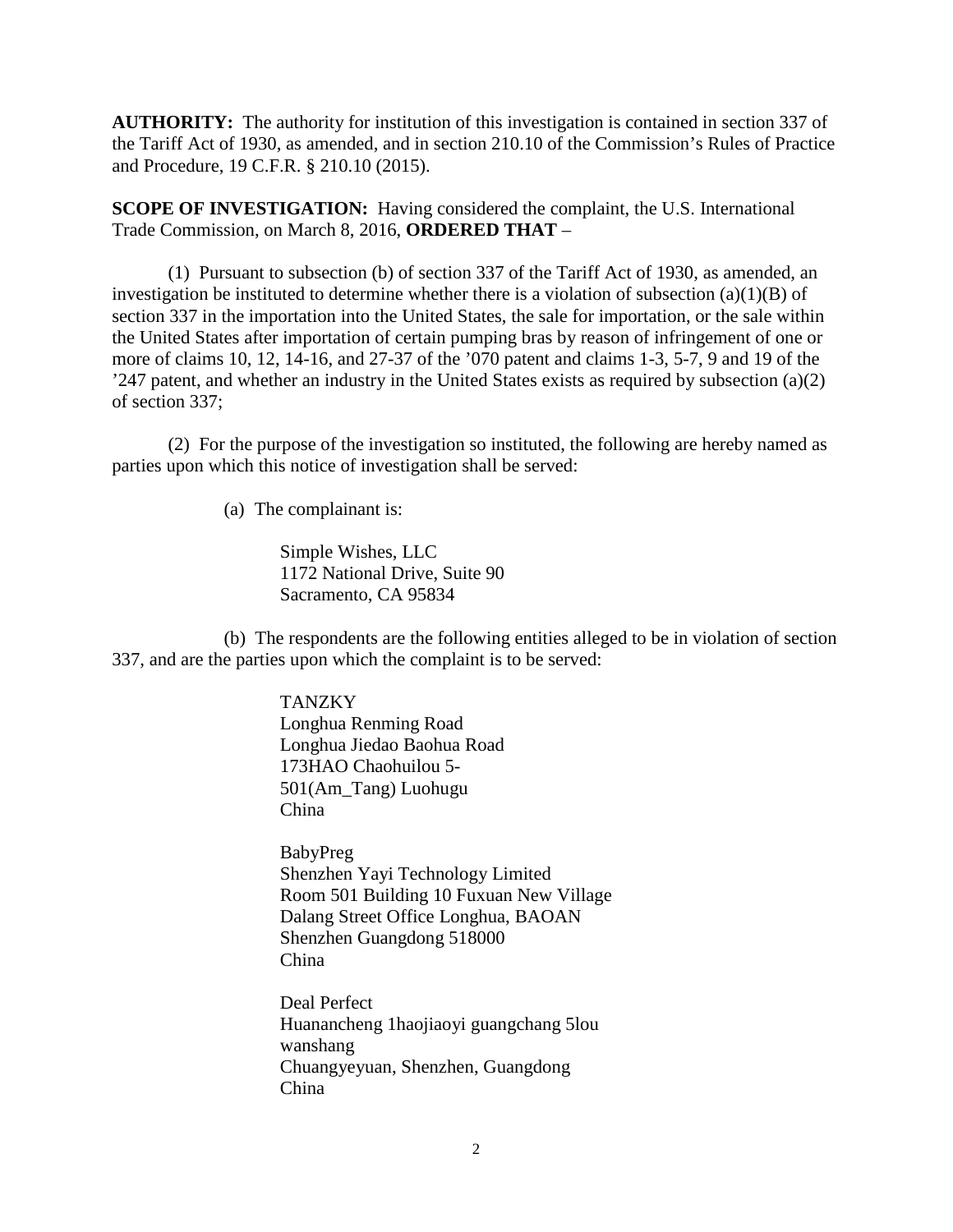**AUTHORITY:** The authority for institution of this investigation is contained in section 337 of the Tariff Act of 1930, as amended, and in section 210.10 of the Commission's Rules of Practice and Procedure, 19 C.F.R. § 210.10 (2015).

**SCOPE OF INVESTIGATION:** Having considered the complaint, the U.S. International Trade Commission, on March 8, 2016, **ORDERED THAT** –

(1) Pursuant to subsection (b) of section 337 of the Tariff Act of 1930, as amended, an investigation be instituted to determine whether there is a violation of subsection  $(a)(1)(B)$  of section 337 in the importation into the United States, the sale for importation, or the sale within the United States after importation of certain pumping bras by reason of infringement of one or more of claims 10, 12, 14-16, and 27-37 of the '070 patent and claims 1-3, 5-7, 9 and 19 of the '247 patent, and whether an industry in the United States exists as required by subsection (a)(2) of section 337;

(2) For the purpose of the investigation so instituted, the following are hereby named as parties upon which this notice of investigation shall be served:

(a) The complainant is:

Simple Wishes, LLC 1172 National Drive, Suite 90 Sacramento, CA 95834

(b) The respondents are the following entities alleged to be in violation of section 337, and are the parties upon which the complaint is to be served:

> **TANZKY** Longhua Renming Road Longhua Jiedao Baohua Road 173HAO Chaohuilou 5- 501(Am\_Tang) Luohugu China

BabyPreg Shenzhen Yayi Technology Limited Room 501 Building 10 Fuxuan New Village Dalang Street Office Longhua, BAOAN Shenzhen Guangdong 518000 China

Deal Perfect Huanancheng 1haojiaoyi guangchang 5lou wanshang Chuangyeyuan, Shenzhen, Guangdong China